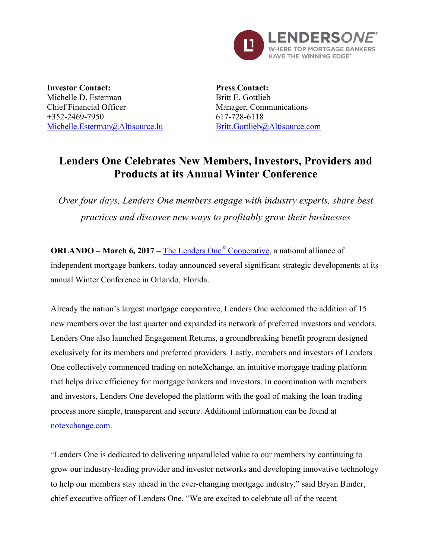

**Investor Contact:** Michelle D. Esterman Chief Financial Officer +352-2469-7950 Michelle.Esterman@Altisource.lu

**Press Contact:** Britt E. Gottlieb Manager, Communications 617-728-6118 Britt.Gottlieb@Altisource.com

## **Lenders One Celebrates New Members, Investors, Providers and Products at its Annual Winter Conference**

*Over four days, Lenders One members engage with industry experts, share best practices and discover new ways to profitably grow their businesses*

**ORLANDO – March 6, 2017 –** The Lenders One® Cooperative, a national alliance of independent mortgage bankers, today announced several significant strategic developments at its annual Winter Conference in Orlando, Florida.

Already the nation's largest mortgage cooperative, Lenders One welcomed the addition of 15 new members over the last quarter and expanded its network of preferred investors and vendors. Lenders One also launched Engagement Returns, a groundbreaking benefit program designed exclusively for its members and preferred providers. Lastly, members and investors of Lenders One collectively commenced trading on noteXchange, an intuitive mortgage trading platform that helps drive efficiency for mortgage bankers and investors. In coordination with members and investors, Lenders One developed the platform with the goal of making the loan trading process more simple, transparent and secure. Additional information can be found at notexchange.com.

"Lenders One is dedicated to delivering unparalleled value to our members by continuing to grow our industry-leading provider and investor networks and developing innovative technology to help our members stay ahead in the ever-changing mortgage industry," said Bryan Binder, chief executive officer of Lenders One. "We are excited to celebrate all of the recent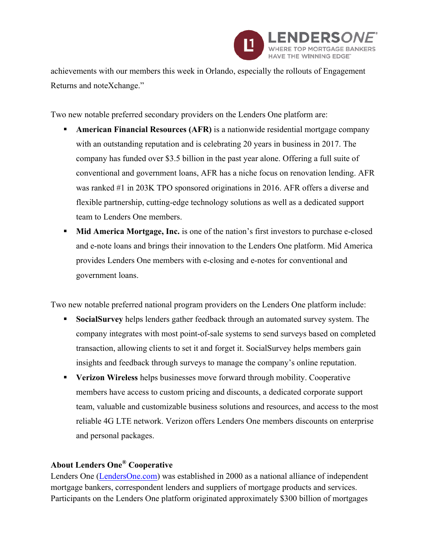

achievements with our members this week in Orlando, especially the rollouts of Engagement Returns and noteXchange."

Two new notable preferred secondary providers on the Lenders One platform are:

- **American Financial Resources (AFR)** is a nationwide residential mortgage company with an outstanding reputation and is celebrating 20 years in business in 2017. The company has funded over \$3.5 billion in the past year alone. Offering a full suite of conventional and government loans, AFR has a niche focus on renovation lending. AFR was ranked #1 in 203K TPO sponsored originations in 2016. AFR offers a diverse and flexible partnership, cutting-edge technology solutions as well as a dedicated support team to Lenders One members.
- § **Mid America Mortgage, Inc.** is one of the nation's first investors to purchase e-closed and e-note loans and brings their innovation to the Lenders One platform. Mid America provides Lenders One members with e-closing and e-notes for conventional and government loans.

Two new notable preferred national program providers on the Lenders One platform include:

- § **SocialSurvey** helps lenders gather feedback through an automated survey system. The company integrates with most point-of-sale systems to send surveys based on completed transaction, allowing clients to set it and forget it. SocialSurvey helps members gain insights and feedback through surveys to manage the company's online reputation.
- § **Verizon Wireless** helps businesses move forward through mobility. Cooperative members have access to custom pricing and discounts, a dedicated corporate support team, valuable and customizable business solutions and resources, and access to the most reliable 4G LTE network. Verizon offers Lenders One members discounts on enterprise and personal packages.

## **About Lenders One® Cooperative**

Lenders One (LendersOne.com) was established in 2000 as a national alliance of independent mortgage bankers, correspondent lenders and suppliers of mortgage products and services. Participants on the Lenders One platform originated approximately \$300 billion of mortgages